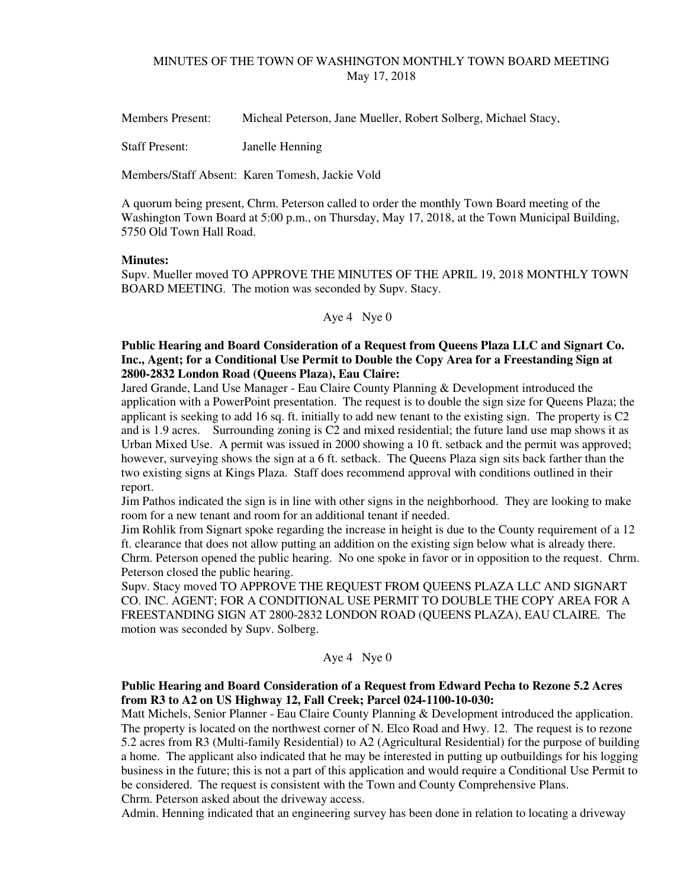# MINUTES OF THE TOWN OF WASHINGTON MONTHLY TOWN BOARD MEETING May 17, 2018

Members Present: Micheal Peterson, Jane Mueller, Robert Solberg, Michael Stacy,

Staff Present: Janelle Henning

Members/Staff Absent: Karen Tomesh, Jackie Vold

A quorum being present, Chrm. Peterson called to order the monthly Town Board meeting of the Washington Town Board at 5:00 p.m., on Thursday, May 17, 2018, at the Town Municipal Building, 5750 Old Town Hall Road.

### **Minutes:**

Supv. Mueller moved TO APPROVE THE MINUTES OF THE APRIL 19, 2018 MONTHLY TOWN BOARD MEETING. The motion was seconded by Supv. Stacy.

### Aye 4 Nye 0

# **Public Hearing and Board Consideration of a Request from Queens Plaza LLC and Signart Co. Inc., Agent; for a Conditional Use Permit to Double the Copy Area for a Freestanding Sign at 2800-2832 London Road (Queens Plaza), Eau Claire:**

Jared Grande, Land Use Manager - Eau Claire County Planning & Development introduced the application with a PowerPoint presentation. The request is to double the sign size for Queens Plaza; the applicant is seeking to add 16 sq. ft. initially to add new tenant to the existing sign. The property is C2 and is 1.9 acres. Surrounding zoning is C2 and mixed residential; the future land use map shows it as Urban Mixed Use. A permit was issued in 2000 showing a 10 ft. setback and the permit was approved; however, surveying shows the sign at a 6 ft. setback. The Queens Plaza sign sits back farther than the two existing signs at Kings Plaza. Staff does recommend approval with conditions outlined in their report.

Jim Pathos indicated the sign is in line with other signs in the neighborhood. They are looking to make room for a new tenant and room for an additional tenant if needed.

Jim Rohlik from Signart spoke regarding the increase in height is due to the County requirement of a 12 ft. clearance that does not allow putting an addition on the existing sign below what is already there. Chrm. Peterson opened the public hearing. No one spoke in favor or in opposition to the request. Chrm. Peterson closed the public hearing.

Supv. Stacy moved TO APPROVE THE REQUEST FROM QUEENS PLAZA LLC AND SIGNART CO. INC. AGENT; FOR A CONDITIONAL USE PERMIT TO DOUBLE THE COPY AREA FOR A FREESTANDING SIGN AT 2800-2832 LONDON ROAD (QUEENS PLAZA), EAU CLAIRE. The motion was seconded by Supv. Solberg.

### Aye 4 Nye 0

## **Public Hearing and Board Consideration of a Request from Edward Pecha to Rezone 5.2 Acres from R3 to A2 on US Highway 12, Fall Creek; Parcel 024-1100-10-030:**

Matt Michels, Senior Planner - Eau Claire County Planning & Development introduced the application. The property is located on the northwest corner of N. Elco Road and Hwy. 12. The request is to rezone 5.2 acres from R3 (Multi-family Residential) to A2 (Agricultural Residential) for the purpose of building a home. The applicant also indicated that he may be interested in putting up outbuildings for his logging business in the future; this is not a part of this application and would require a Conditional Use Permit to be considered. The request is consistent with the Town and County Comprehensive Plans.

Chrm. Peterson asked about the driveway access.

Admin. Henning indicated that an engineering survey has been done in relation to locating a driveway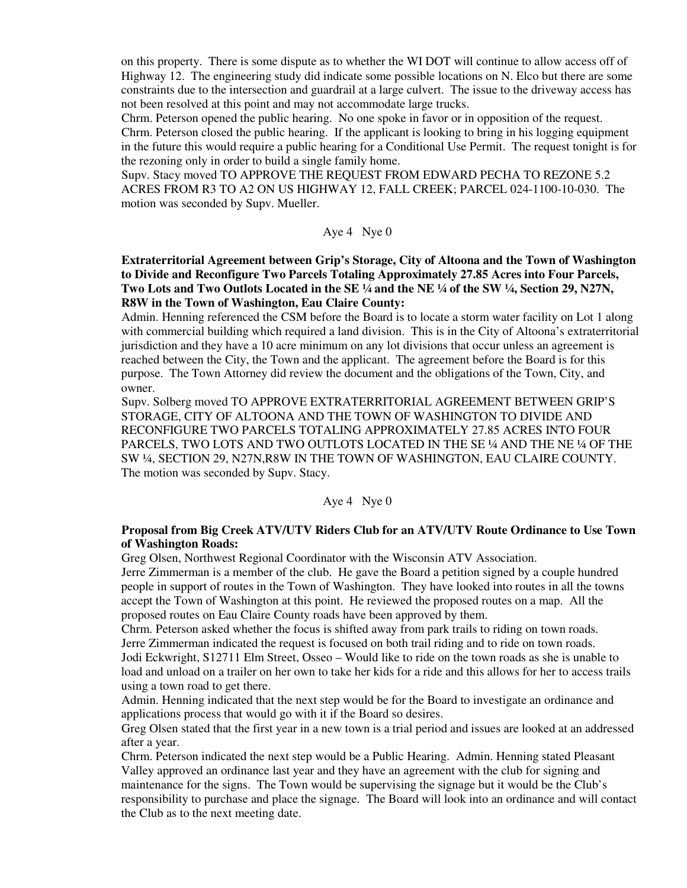on this property. There is some dispute as to whether the WI DOT will continue to allow access off of Highway 12. The engineering study did indicate some possible locations on N. Elco but there are some constraints due to the intersection and guardrail at a large culvert. The issue to the driveway access has not been resolved at this point and may not accommodate large trucks.

Chrm. Peterson opened the public hearing. No one spoke in favor or in opposition of the request. Chrm. Peterson closed the public hearing. If the applicant is looking to bring in his logging equipment in the future this would require a public hearing for a Conditional Use Permit. The request tonight is for the rezoning only in order to build a single family home.

Supv. Stacy moved TO APPROVE THE REQUEST FROM EDWARD PECHA TO REZONE 5.2 ACRES FROM R3 TO A2 ON US HIGHWAY 12, FALL CREEK; PARCEL 024-1100-10-030. The motion was seconded by Supv. Mueller.

Aye 4 Nye 0

**Extraterritorial Agreement between Grip's Storage, City of Altoona and the Town of Washington to Divide and Reconfigure Two Parcels Totaling Approximately 27.85 Acres into Four Parcels,**  Two Lots and Two Outlots Located in the SE 1/4 and the NE 1/4 of the SW 1/4, Section 29, N27N, **R8W in the Town of Washington, Eau Claire County:** 

Admin. Henning referenced the CSM before the Board is to locate a storm water facility on Lot 1 along with commercial building which required a land division. This is in the City of Altoona's extraterritorial jurisdiction and they have a 10 acre minimum on any lot divisions that occur unless an agreement is reached between the City, the Town and the applicant. The agreement before the Board is for this purpose. The Town Attorney did review the document and the obligations of the Town, City, and owner.

Supv. Solberg moved TO APPROVE EXTRATERRITORIAL AGREEMENT BETWEEN GRIP'S STORAGE, CITY OF ALTOONA AND THE TOWN OF WASHINGTON TO DIVIDE AND RECONFIGURE TWO PARCELS TOTALING APPROXIMATELY 27.85 ACRES INTO FOUR PARCELS, TWO LOTS AND TWO OUTLOTS LOCATED IN THE SE ¼ AND THE NE ¼ OF THE SW ¼, SECTION 29, N27N,R8W IN THE TOWN OF WASHINGTON, EAU CLAIRE COUNTY. The motion was seconded by Supv. Stacy.

# Aye 4 Nye 0

# **Proposal from Big Creek ATV/UTV Riders Club for an ATV/UTV Route Ordinance to Use Town of Washington Roads:**

Greg Olsen, Northwest Regional Coordinator with the Wisconsin ATV Association.

Jerre Zimmerman is a member of the club. He gave the Board a petition signed by a couple hundred people in support of routes in the Town of Washington. They have looked into routes in all the towns accept the Town of Washington at this point. He reviewed the proposed routes on a map. All the proposed routes on Eau Claire County roads have been approved by them.

Chrm. Peterson asked whether the focus is shifted away from park trails to riding on town roads. Jerre Zimmerman indicated the request is focused on both trail riding and to ride on town roads. Jodi Eckwright, S12711 Elm Street, Osseo – Would like to ride on the town roads as she is unable to load and unload on a trailer on her own to take her kids for a ride and this allows for her to access trails using a town road to get there.

Admin. Henning indicated that the next step would be for the Board to investigate an ordinance and applications process that would go with it if the Board so desires.

Greg Olsen stated that the first year in a new town is a trial period and issues are looked at an addressed after a year.

Chrm. Peterson indicated the next step would be a Public Hearing. Admin. Henning stated Pleasant Valley approved an ordinance last year and they have an agreement with the club for signing and maintenance for the signs. The Town would be supervising the signage but it would be the Club's responsibility to purchase and place the signage. The Board will look into an ordinance and will contact the Club as to the next meeting date.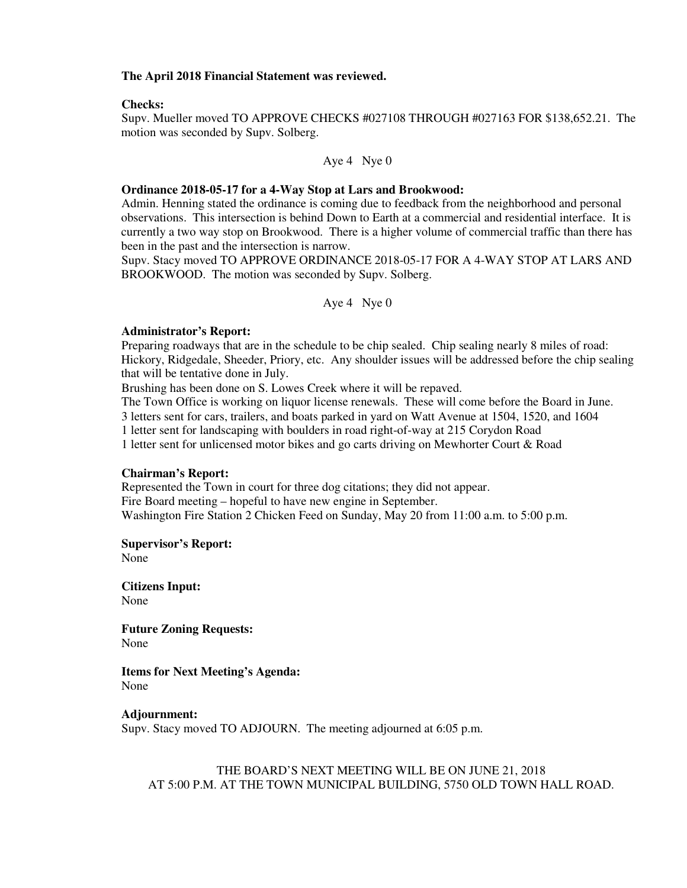### **The April 2018 Financial Statement was reviewed.**

### **Checks:**

Supv. Mueller moved TO APPROVE CHECKS #027108 THROUGH #027163 FOR \$138,652.21. The motion was seconded by Supv. Solberg.

Aye 4 Nye 0

#### **Ordinance 2018-05-17 for a 4-Way Stop at Lars and Brookwood:**

Admin. Henning stated the ordinance is coming due to feedback from the neighborhood and personal observations. This intersection is behind Down to Earth at a commercial and residential interface. It is currently a two way stop on Brookwood. There is a higher volume of commercial traffic than there has been in the past and the intersection is narrow.

Supv. Stacy moved TO APPROVE ORDINANCE 2018-05-17 FOR A 4-WAY STOP AT LARS AND BROOKWOOD. The motion was seconded by Supv. Solberg.

Aye 4 Nye 0

### **Administrator's Report:**

Preparing roadways that are in the schedule to be chip sealed. Chip sealing nearly 8 miles of road: Hickory, Ridgedale, Sheeder, Priory, etc. Any shoulder issues will be addressed before the chip sealing that will be tentative done in July.

Brushing has been done on S. Lowes Creek where it will be repaved.

The Town Office is working on liquor license renewals. These will come before the Board in June. 3 letters sent for cars, trailers, and boats parked in yard on Watt Avenue at 1504, 1520, and 1604

1 letter sent for landscaping with boulders in road right-of-way at 215 Corydon Road

1 letter sent for unlicensed motor bikes and go carts driving on Mewhorter Court & Road

#### **Chairman's Report:**

Represented the Town in court for three dog citations; they did not appear. Fire Board meeting – hopeful to have new engine in September. Washington Fire Station 2 Chicken Feed on Sunday, May 20 from 11:00 a.m. to 5:00 p.m.

**Supervisor's Report:**  None

**Citizens Input:**  None

**Future Zoning Requests:**  None

**Items for Next Meeting's Agenda:**  None

#### **Adjournment:**

Supv. Stacy moved TO ADJOURN. The meeting adjourned at 6:05 p.m.

THE BOARD'S NEXT MEETING WILL BE ON JUNE 21, 2018 AT 5:00 P.M. AT THE TOWN MUNICIPAL BUILDING, 5750 OLD TOWN HALL ROAD.